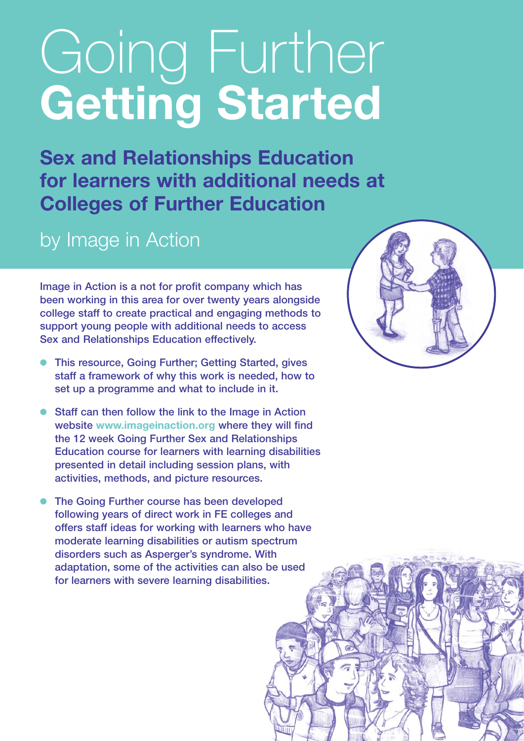# Going Further **Getting Started**

**Sex and Relationships Education for learners with additional needs at Colleges of Further Education**

## by Image in Action

**Image in Action is a not for profit company which has been working in this area for over twenty years alongside college staff to create practical and engaging methods to support young people with additional needs to access Sex and Relationships Education effectively.**

- **This resource, Going Further; Getting Started, gives staff a framework of why this work is needed, how to set up a programme and what to include in it.**
- **Staff can then follow the link to the Image in Action website [www.imageinaction.org](http://www.imageinaction.org) where they will find the 12 week Going Further Sex and Relationships Education course for learners with learning disabilities presented in detail including session plans, with activities, methods, and picture resources.**
- **The Going Further course has been developed following years of direct work in FE colleges and offers staff ideas for working with learners who have moderate learning disabilities or autism spectrum disorders such as Asperger's syndrome. With adaptation, some of the activities can also be used for learners with severe learning disabilities.**

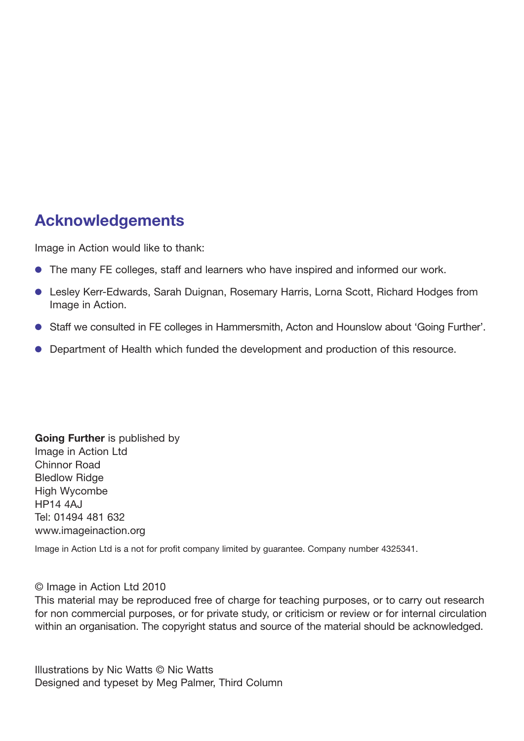## **Acknowledgements**

Image in Action would like to thank:

- The many FE colleges, staff and learners who have inspired and informed our work.
- Lesley Kerr-Edwards, Sarah Duignan, Rosemary Harris, Lorna Scott, Richard Hodges from Image in Action.
- Staff we consulted in FE colleges in Hammersmith, Acton and Hounslow about 'Going Further'.
- Department of Health which funded the development and production of this resource.

**Going Further** is published by Image in Action Ltd Chinnor Road Bledlow Ridge High Wycombe HP14 4AJ Tel: 01494 481 632 [www.imageinaction.org](http://www.imageinaction.org)

Image in Action Ltd is a not for profit company limited by guarantee. Company number 4325341.

#### © Image in Action Ltd 2010

This material may be reproduced free of charge for teaching purposes, or to carry out research for non commercial purposes, or for private study, or criticism or review or for internal circulation within an organisation. The copyright status and source of the material should be acknowledged.

Illustrations by Nic Watts © Nic Watts Designed and typeset by Meg Palmer, Third Column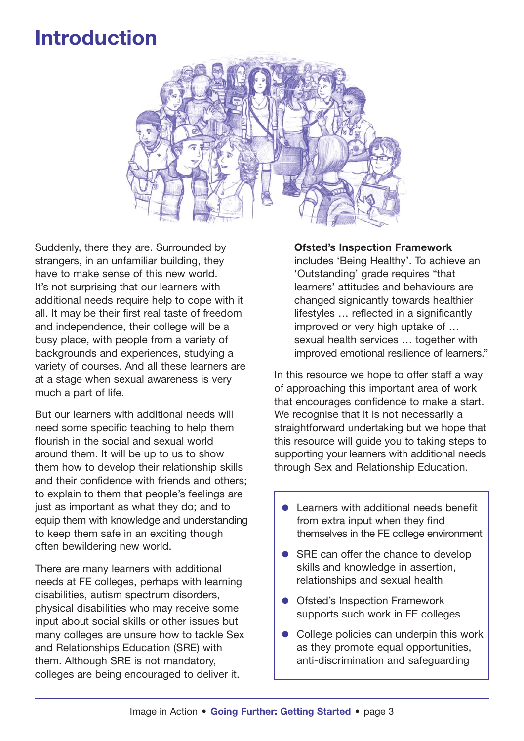# **Introduction**



Suddenly, there they are. Surrounded by strangers, in an unfamiliar building, they have to make sense of this new world. It's not surprising that our learners with additional needs require help to cope with it all. It may be their first real taste of freedom and independence, their college will be a busy place, with people from a variety of backgrounds and experiences, studying a variety of courses. And all these learners are at a stage when sexual awareness is very much a part of life.

But our learners with additional needs will need some specific teaching to help them flourish in the social and sexual world around them. It will be up to us to show them how to develop their relationship skills and their confidence with friends and others; to explain to them that people's feelings are just as important as what they do; and to equip them with knowledge and understanding to keep them safe in an exciting though often bewildering new world.

There are many learners with additional needs at FE colleges, perhaps with learning disabilities, autism spectrum disorders, physical disabilities who may receive some input about social skills or other issues but many colleges are unsure how to tackle Sex and Relationships Education (SRE) with them. Although SRE is not mandatory, colleges are being encouraged to deliver it.

**Ofsted's Inspection Framework** includes 'Being Healthy'. To achieve an 'Outstanding' grade requires "that learners' attitudes and behaviours are changed signicantly towards healthier lifestyles … reflected in a significantly improved or very high uptake of … sexual health services … together with improved emotional resilience of learners."

In this resource we hope to offer staff a way of approaching this important area of work that encourages confidence to make a start. We recognise that it is not necessarily a straightforward undertaking but we hope that this resource will guide you to taking steps to supporting your learners with additional needs through Sex and Relationship Education.

- Learners with additional needs benefit from extra input when they find themselves in the FE college environment
- SRE can offer the chance to develop skills and knowledge in assertion, relationships and sexual health
- Ofsted's Inspection Framework supports such work in FE colleges
- College policies can underpin this work as they promote equal opportunities, anti-discrimination and safeguarding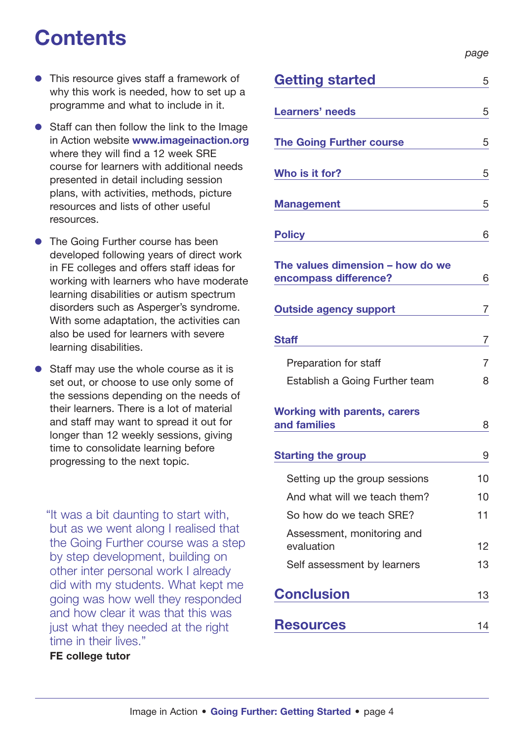# **Contents**

- This resource gives staff a framework of why this work is needed, how to set up a programme and what to include in it.
- Staff can then follow the link to the Image in Action website **[www.imageinaction.org](http://www.imageinaction.org)** where they will find a 12 week SRE course for learners with additional needs presented in detail including session plans, with activities, methods, picture resources and lists of other useful resources.
- The Going Further course has been developed following years of direct work in FE colleges and offers staff ideas for working with learners who have moderate learning disabilities or autism spectrum disorders such as Asperger's syndrome. With some adaptation, the activities can also be used for learners with severe learning disabilities.
- Staff may use the whole course as it is set out, or choose to use only some of the sessions depending on the needs of their learners. There is a lot of material and staff may want to spread it out for longer than 12 weekly sessions, giving time to consolidate learning before progressing to the next topic.

"It was a bit daunting to start with, but as we went along I realised that the Going Further course was a step by step development, building on other inter personal work I already did with my students. What kept me going was how well they responded and how clear it was that this was just what they needed at the right time in their lives."

#### **FE college tutor**

*page*

| <b>Getting started</b>                                                                                                                                                                           | 5  |
|--------------------------------------------------------------------------------------------------------------------------------------------------------------------------------------------------|----|
| <b>Learners' needs</b>                                                                                                                                                                           | 5  |
| <b>The Going Further course</b>                                                                                                                                                                  | 5  |
| Who is it for?                                                                                                                                                                                   | 5  |
| <b>Management</b>                                                                                                                                                                                | 5  |
| <b>Policy</b>                                                                                                                                                                                    | 6  |
| The values dimension - how do we<br>encompass difference?                                                                                                                                        | 6  |
| <b>Outside agency support</b>                                                                                                                                                                    | 7  |
| <b>Staff</b>                                                                                                                                                                                     | 7  |
| Preparation for staff                                                                                                                                                                            | 7  |
| Establish a Going Further team                                                                                                                                                                   | 8  |
| <b>Working with parents, carers</b><br>and families                                                                                                                                              | 8  |
| <b>Starting the group</b>                                                                                                                                                                        | 9  |
| Setting up the group sessions                                                                                                                                                                    | 10 |
| And what will we teach them?                                                                                                                                                                     | 10 |
| So how do we teach SRE?                                                                                                                                                                          | 11 |
| Assessment, monitoring and<br>evaluation                                                                                                                                                         | 12 |
| Self assessment by learners                                                                                                                                                                      | 13 |
| <b>Conclusion</b>                                                                                                                                                                                | 13 |
| <b>Resources</b><br>$\mathcal{L}^{\mathcal{L}}(\mathcal{L}^{\mathcal{L}})$ and $\mathcal{L}^{\mathcal{L}}(\mathcal{L}^{\mathcal{L}})$ and $\mathcal{L}^{\mathcal{L}}(\mathcal{L}^{\mathcal{L}})$ | 14 |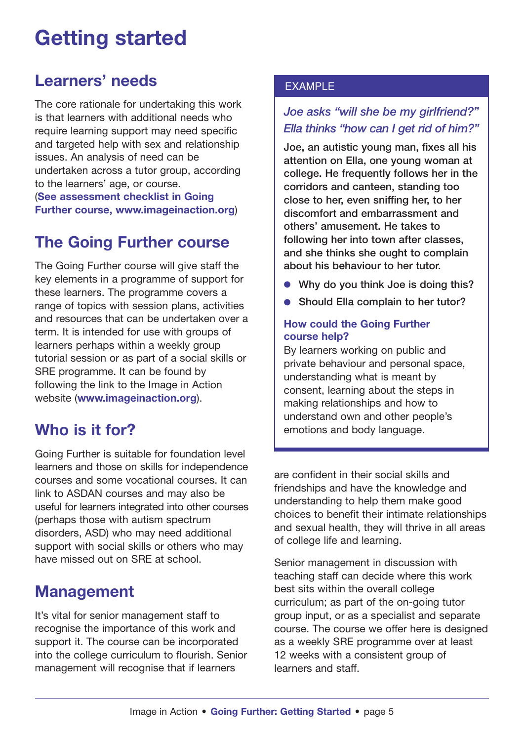# **Getting started**

## **Learners' needs**

The core rationale for undertaking this work is that learners with additional needs who require learning support may need specific and targeted help with sex and relationship issues. An analysis of need can be undertaken across a tutor group, according to the learners' age, or course. (**See assessment checklist in Going Further course, [www.imageinaction.org](http://www.imageinaction.org)**)

## **The Going Further course**

The Going Further course will give staff the key elements in a programme of support for these learners. The programme covers a range of topics with session plans, activities and resources that can be undertaken over a term. It is intended for use with groups of learners perhaps within a weekly group tutorial session or as part of a social skills or SRE programme. It can be found by following the link to the Image in Action website (**[www.imageinaction.org](http://www.imageinaction.org)**).

## **Who is it for?**

Going Further is suitable for foundation level learners and those on skills for independence courses and some vocational courses. It can link to ASDAN courses and may also be useful for learners integrated into other courses (perhaps those with autism spectrum disorders, ASD) who may need additional support with social skills or others who may have missed out on SRE at school.

## **Management**

It's vital for senior management staff to recognise the importance of this work and support it. The course can be incorporated into the college curriculum to flourish. Senior management will recognise that if learners

### EXAMPLE

## *Joe asks "will she be my girlfriend?" Ella thinks "how can I get rid of him?"*

**Joe, an autistic young man, fixes all his attention on Ella, one young woman at college. He frequently follows her in the corridors and canteen, standing too close to her, even sniffing her, to her discomfort and embarrassment and others' amusement. He takes to following her into town after classes, and she thinks she ought to complain about his behaviour to her tutor.**

- **Why do you think Joe is doing this?**
- **Should Ella complain to her tutor?**

#### **How could the Going Further course help?**

By learners working on public and private behaviour and personal space, understanding what is meant by consent, learning about the steps in making relationships and how to understand own and other people's emotions and body language.

are confident in their social skills and friendships and have the knowledge and understanding to help them make good choices to benefit their intimate relationships and sexual health, they will thrive in all areas of college life and learning.

Senior management in discussion with teaching staff can decide where this work best sits within the overall college curriculum; as part of the on-going tutor group input, or as a specialist and separate course. The course we offer here is designed as a weekly SRE programme over at least 12 weeks with a consistent group of learners and staff.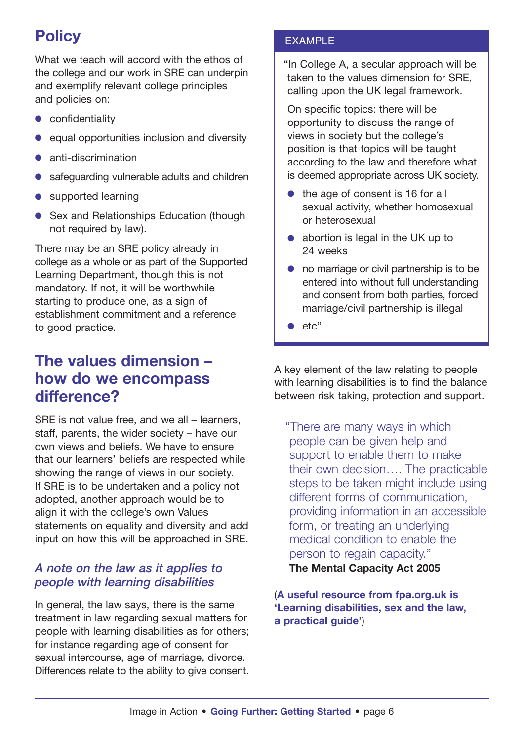## **Policy**

What we teach will accord with the ethos of the college and our work in SRE can underpin and exemplify relevant college principles and policies on:

- confidentiality
- equal opportunities inclusion and diversity
- anti-discrimination
- safeguarding vulnerable adults and children
- supported learning
- Sex and Relationships Education (though not required by law).

There may be an SRE policy already in college as a whole or as part of the Supported Learning Department, though this is not mandatory. If not, it will be worthwhile starting to produce one, as a sign of establishment commitment and a reference to good practice.

## **The values dimension – how do we encompass difference?**

SRE is not value free, and we all – learners, staff, parents, the wider society – have our own views and beliefs. We have to ensure that our learners' beliefs are respected while showing the range of views in our society. If SRE is to be undertaken and a policy not adopted, another approach would be to align it with the college's own Values statements on equality and diversity and add input on how this will be approached in SRE.

## *A note on the law as it applies to people with learning disabilities*

In general, the law says, there is the same treatment in law regarding sexual matters for people with learning disabilities as for others; for instance regarding age of consent for sexual intercourse, age of marriage, divorce. Differences relate to the ability to give consent.

## EXAMPLE

"In College A, a secular approach will be taken to the values dimension for SRE, calling upon the UK legal framework.

On specific topics: there will be opportunity to discuss the range of views in society but the college's position is that topics will be taught according to the law and therefore what is deemed appropriate across UK society.

- the age of consent is 16 for all sexual activity, whether homosexual or heterosexual
- abortion is legal in the UK up to 24 weeks
- no marriage or civil partnership is to be entered into without full understanding and consent from both parties, forced marriage/civil partnership is illegal
- $\bullet$  etc"

A key element of the law relating to people with learning disabilities is to find the balance between risk taking, protection and support.

"There are many ways in which people can be given help and support to enable them to make their own decision…. The practicable steps to be taken might include using different forms of communication, providing information in an accessible form, or treating an underlying medical condition to enable the person to regain capacity."

**The Mental Capacity Act 2005**

(**A useful resource from fpa.org.uk is 'Learning disabilities, sex and the law, a practical guide'**)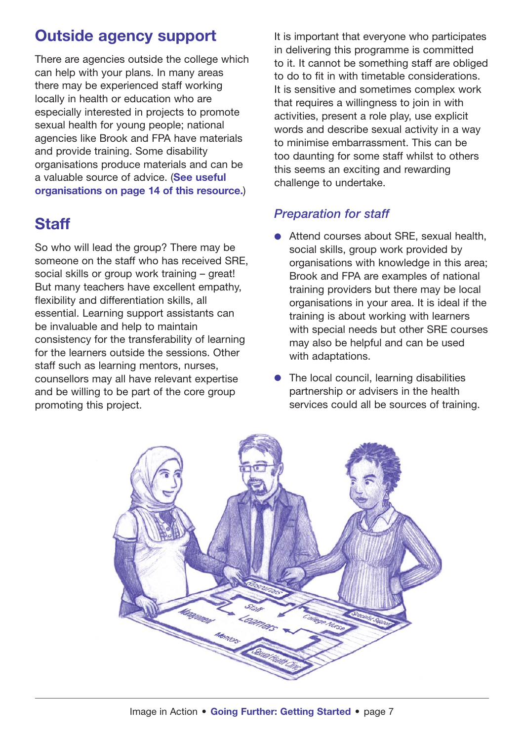## **Outside agency support**

There are agencies outside the college which can help with your plans. In many areas there may be experienced staff working locally in health or education who are especially interested in projects to promote sexual health for young people; national agencies like Brook and FPA have materials and provide training. Some disability organisations produce materials and can be a valuable source of advice. (**See useful organisations on page 14 of this resource.**)

## **Staff**

So who will lead the group? There may be someone on the staff who has received SRE, social skills or group work training – great! But many teachers have excellent empathy, flexibility and differentiation skills, all essential. Learning support assistants can be invaluable and help to maintain consistency for the transferability of learning for the learners outside the sessions. Other staff such as learning mentors, nurses, counsellors may all have relevant expertise and be willing to be part of the core group promoting this project.

It is important that everyone who participates in delivering this programme is committed to it. It cannot be something staff are obliged to do to fit in with timetable considerations. It is sensitive and sometimes complex work that requires a willingness to join in with activities, present a role play, use explicit words and describe sexual activity in a way to minimise embarrassment. This can be too daunting for some staff whilst to others this seems an exciting and rewarding challenge to undertake.

## *Preparation for staff*

- Attend courses about SRE, sexual health, social skills, group work provided by organisations with knowledge in this area; Brook and FPA are examples of national training providers but there may be local organisations in your area. It is ideal if the training is about working with learners with special needs but other SRE courses may also be helpful and can be used with adaptations.
- The local council, learning disabilities partnership or advisers in the health services could all be sources of training.

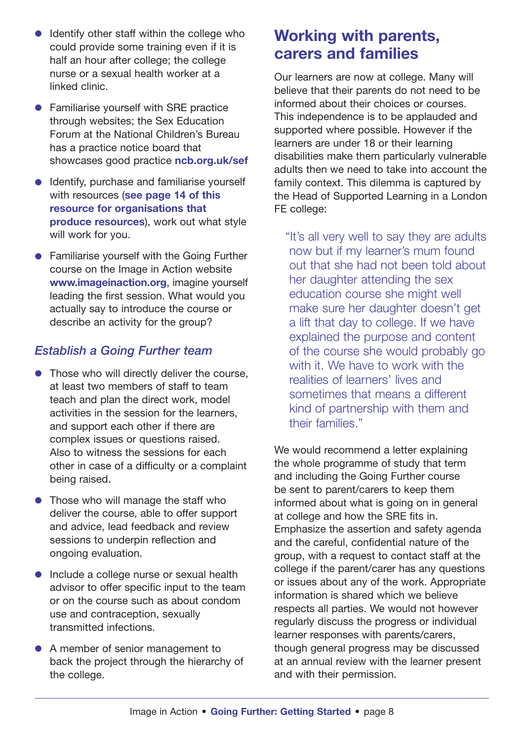- Identify other staff within the college who could provide some training even if it is half an hour after college; the college nurse or a sexual health worker at a linked clinic.
- Familiarise yourself with SRE practice through websites; the Sex Education Forum at the National Children's Bureau has a practice notice board that showcases good practice **ncb.org.uk/sef**
- Identify, purchase and familiarise vourself with resources (**see page 14 of this resource for organisations that produce resources**), work out what style will work for you.
- Familiarise yourself with the Going Further course on the Image in Action website **[www.imageinaction.org](http://www.imageinaction.org)**, imagine yourself leading the first session. What would you actually say to introduce the course or describe an activity for the group?

## *Establish a Going Further team*

- Those who will directly deliver the course, at least two members of staff to team teach and plan the direct work, model activities in the session for the learners, and support each other if there are complex issues or questions raised. Also to witness the sessions for each other in case of a difficulty or a complaint being raised.
- Those who will manage the staff who deliver the course, able to offer support and advice, lead feedback and review sessions to underpin reflection and ongoing evaluation.
- Include a college nurse or sexual health advisor to offer specific input to the team or on the course such as about condom use and contraception, sexually transmitted infections.
- A member of senior management to back the project through the hierarchy of the college.

## **Working with parents, carers and families**

Our learners are now at college. Many will believe that their parents do not need to be informed about their choices or courses. This independence is to be applauded and supported where possible. However if the learners are under 18 or their learning disabilities make them particularly vulnerable adults then we need to take into account the family context. This dilemma is captured by the Head of Supported Learning in a London FE college:

"It's all very well to say they are adults now but if my learner's mum found out that she had not been told about her daughter attending the sex education course she might well make sure her daughter doesn't get a lift that day to college. If we have explained the purpose and content of the course she would probably go with it. We have to work with the realities of learners' lives and sometimes that means a different kind of partnership with them and their families."

We would recommend a letter explaining the whole programme of study that term and including the Going Further course be sent to parent/carers to keep them informed about what is going on in general at college and how the SRE fits in. Emphasize the assertion and safety agenda and the careful, confidential nature of the group, with a request to contact staff at the college if the parent/carer has any questions or issues about any of the work. Appropriate information is shared which we believe respects all parties. We would not however regularly discuss the progress or individual learner responses with parents/carers, though general progress may be discussed at an annual review with the learner present and with their permission.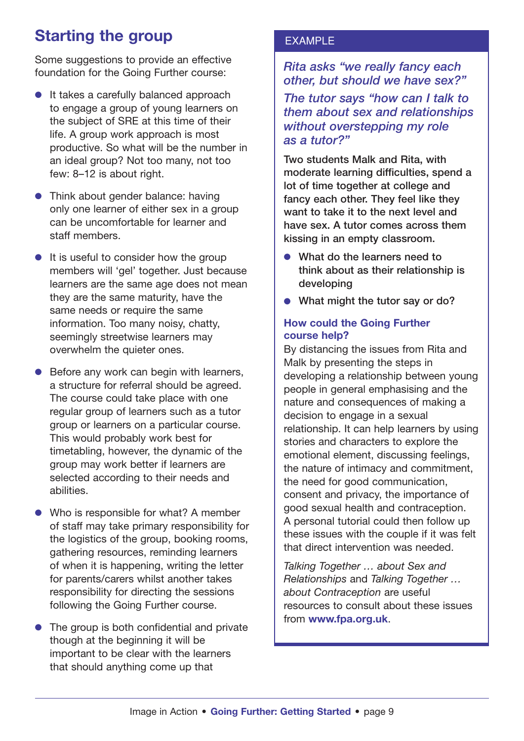## **Starting the group**

Some suggestions to provide an effective foundation for the Going Further course:

- It takes a carefully balanced approach to engage a group of young learners on the subject of SRE at this time of their life. A group work approach is most productive. So what will be the number in an ideal group? Not too many, not too few: 8–12 is about right.
- Think about gender balance: having only one learner of either sex in a group can be uncomfortable for learner and staff members.
- It is useful to consider how the group members will 'gel' together. Just because learners are the same age does not mean they are the same maturity, have the same needs or require the same information. Too many noisy, chatty, seemingly streetwise learners may overwhelm the quieter ones.
- Before any work can begin with learners, a structure for referral should be agreed. The course could take place with one regular group of learners such as a tutor group or learners on a particular course. This would probably work best for timetabling, however, the dynamic of the group may work better if learners are selected according to their needs and abilities.
- Who is responsible for what? A member of staff may take primary responsibility for the logistics of the group, booking rooms, gathering resources, reminding learners of when it is happening, writing the letter for parents/carers whilst another takes responsibility for directing the sessions following the Going Further course.
- The group is both confidential and private though at the beginning it will be important to be clear with the learners that should anything come up that

#### EXAMPLE

#### *Rita asks "we really fancy each other, but should we have sex?"*

*The tutor says "how can I talk to them about sex and relationships without overstepping my role as a tutor?"*

**Two students Malk and Rita, with moderate learning difficulties, spend a lot of time together at college and fancy each other. They feel like they want to take it to the next level and have sex. A tutor comes across them kissing in an empty classroom.**

- What do the learners need to **think about as their relationship is developing**
- **What might the tutor say or do?**

#### **How could the Going Further course help?**

By distancing the issues from Rita and Malk by presenting the steps in developing a relationship between young people in general emphasising and the nature and consequences of making a decision to engage in a sexual relationship. It can help learners by using stories and characters to explore the emotional element, discussing feelings, the nature of intimacy and commitment, the need for good communication, consent and privacy, the importance of good sexual health and contraception. A personal tutorial could then follow up these issues with the couple if it was felt that direct intervention was needed.

*Talking Together … about Sex and Relationships* and *Talking Together … about Contraception* are useful resources to consult about these issues from **[www.fpa.org.uk](http://www.fpa.org.uk)**.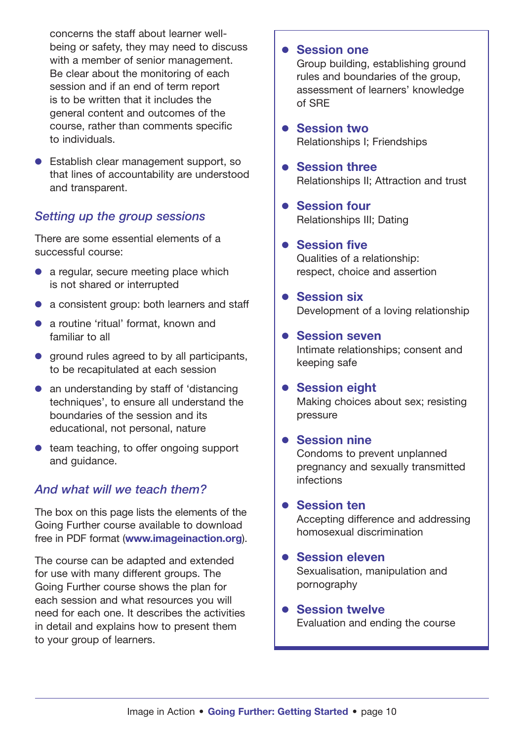concerns the staff about learner wellbeing or safety, they may need to discuss with a member of senior management. Be clear about the monitoring of each session and if an end of term report is to be written that it includes the general content and outcomes of the course, rather than comments specific to individuals.

● Establish clear management support, so that lines of accountability are understood and transparent.

### *Setting up the group sessions*

There are some essential elements of a successful course:

- $\bullet$  a regular, secure meeting place which is not shared or interrupted
- a consistent group: both learners and staff
- a routine 'ritual' format, known and familiar to all
- ground rules agreed to by all participants, to be recapitulated at each session
- an understanding by staff of 'distancing techniques', to ensure all understand the boundaries of the session and its educational, not personal, nature
- team teaching, to offer ongoing support and guidance.

## *And what will we teach them?*

The box on this page lists the elements of the Going Further course available to download free in PDF format (**[www.imageinaction.org](http://www.imageinaction.org)**).

The course can be adapted and extended for use with many different groups. The Going Further course shows the plan for each session and what resources you will need for each one. It describes the activities in detail and explains how to present them to your group of learners.

#### ● **Session one**

Group building, establishing ground rules and boundaries of the group, assessment of learners' knowledge of SRE

- **Session two** Relationships I; Friendships
- **Session three** Relationships II; Attraction and trust
- **Session four** Relationships III; Dating
- **Session five** Qualities of a relationship: respect, choice and assertion
- **Session six** Development of a loving relationship
- **Session seven** Intimate relationships; consent and keeping safe
- **Session eight** Making choices about sex; resisting pressure

#### ● **Session nine**

Condoms to prevent unplanned pregnancy and sexually transmitted infections

● **Session ten**

Accepting difference and addressing homosexual discrimination

#### ● **Session eleven**

Sexualisation, manipulation and pornography

#### ● **Session twelve** Evaluation and ending the course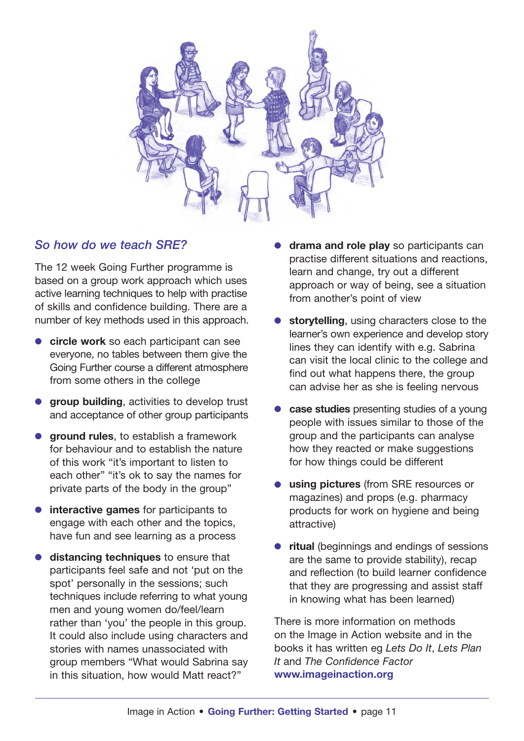

#### *So how do we teach SRE?*

The 12 week Going Further programme is based on a group work approach which uses active learning techniques to help with practise of skills and confidence building. There are a number of key methods used in this approach.

- **circle work** so each participant can see everyone, no tables between them give the Going Further course a different atmosphere from some others in the college
- **group building**, activities to develop trust and acceptance of other group participants
- **ground rules**, to establish a framework for behaviour and to establish the nature of this work "it's important to listen to each other" "it's ok to say the names for private parts of the body in the group"
- **interactive games** for participants to engage with each other and the topics, have fun and see learning as a process
- **distancing techniques** to ensure that participants feel safe and not 'put on the spot' personally in the sessions; such techniques include referring to what young men and young women do/feel/learn rather than 'you' the people in this group. It could also include using characters and stories with names unassociated with group members "What would Sabrina say in this situation, how would Matt react?"
- drama and role play so participants can practise different situations and reactions, learn and change, try out a different approach or way of being, see a situation from another's point of view
- storytelling, using characters close to the learner's own experience and develop story lines they can identify with e.g. Sabrina can visit the local clinic to the college and find out what happens there, the group can advise her as she is feeling nervous
- **case studies** presenting studies of a young people with issues similar to those of the group and the participants can analyse how they reacted or make suggestions for how things could be different
- **using pictures** (from SRE resources or magazines) and props (e.g. pharmacy products for work on hygiene and being attractive)
- **ritual** (beginnings and endings of sessions are the same to provide stability), recap and reflection (to build learner confidence that they are progressing and assist staff in knowing what has been learned)

There is more information on methods on the Image in Action website and in the books it has written eg *Lets Do It*, *Lets Plan It* and *The Confidence Factor* **[www.imageinaction.org](http://www.imageinaction.org)**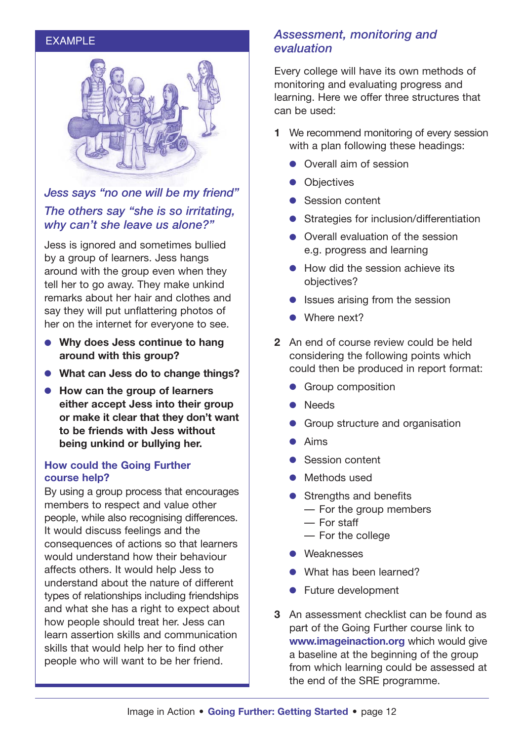#### EXAMPLE



## *Jess says "no one will be my friend" The others say "she is so irritating, why can't she leave us alone?"*

Jess is ignored and sometimes bullied by a group of learners. Jess hangs around with the group even when they tell her to go away. They make unkind remarks about her hair and clothes and say they will put unflattering photos of her on the internet for everyone to see.

- **Why does Jess continue to hang around with this group?**
- **What can Jess do to change things?**
- **How can the group of learners either accept Jess into their group or make it clear that they don't want to be friends with Jess without being unkind or bullying her.**

#### **How could the Going Further course help?**

By using a group process that encourages members to respect and value other people, while also recognising differences. It would discuss feelings and the consequences of actions so that learners would understand how their behaviour affects others. It would help Jess to understand about the nature of different types of relationships including friendships and what she has a right to expect about how people should treat her. Jess can learn assertion skills and communication skills that would help her to find other people who will want to be her friend.

#### *Assessment, monitoring and evaluation*

Every college will have its own methods of monitoring and evaluating progress and learning. Here we offer three structures that can be used:

- **1** We recommend monitoring of every session with a plan following these headings:
	- Overall aim of session
	- Objectives
	- Session content
	- Strategies for inclusion/differentiation
	- Overall evaluation of the session e.g. progress and learning
	- How did the session achieve its objectives?
	- Issues arising from the session
	- Where next?
- **2** An end of course review could be held considering the following points which could then be produced in report format:
	- Group composition
	- Needs
	- Group structure and organisation
	- Aims
	- Session content
	- Methods used
	- Strengths and benefits
		- For the group members
		- For staff
		- For the college
	- Weaknesses
	- What has been learned?
	- Future development
- **3** An assessment checklist can be found as part of the Going Further course link to **[www.imageinaction.org](http://www.imageinaction.org)** which would give a baseline at the beginning of the group from which learning could be assessed at the end of the SRE programme.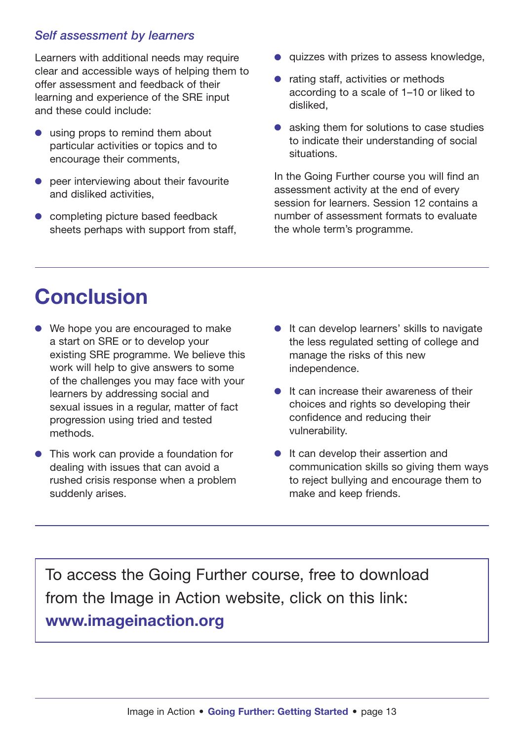## *Self assessment by learners*

Learners with additional needs may require clear and accessible ways of helping them to offer assessment and feedback of their learning and experience of the SRE input and these could include:

- using props to remind them about particular activities or topics and to encourage their comments,
- peer interviewing about their favourite and disliked activities,
- completing picture based feedback sheets perhaps with support from staff,
- quizzes with prizes to assess knowledge,
- rating staff, activities or methods according to a scale of 1–10 or liked to disliked,
- asking them for solutions to case studies to indicate their understanding of social situations.

In the Going Further course you will find an assessment activity at the end of every session for learners. Session 12 contains a number of assessment formats to evaluate the whole term's programme.

# **Conclusion**

- We hope you are encouraged to make a start on SRE or to develop your existing SRE programme. We believe this work will help to give answers to some of the challenges you may face with your learners by addressing social and sexual issues in a regular, matter of fact progression using tried and tested methods.
- This work can provide a foundation for dealing with issues that can avoid a rushed crisis response when a problem suddenly arises.
- It can develop learners' skills to navigate the less regulated setting of college and manage the risks of this new independence.
- It can increase their awareness of their choices and rights so developing their confidence and reducing their vulnerability.
- It can develop their assertion and communication skills so giving them ways to reject bullying and encourage them to make and keep friends.

To access the Going Further course, free to download from the Image in Action website, click on this link: **[www.imageinaction.org](http://www.imageinaction.org)**